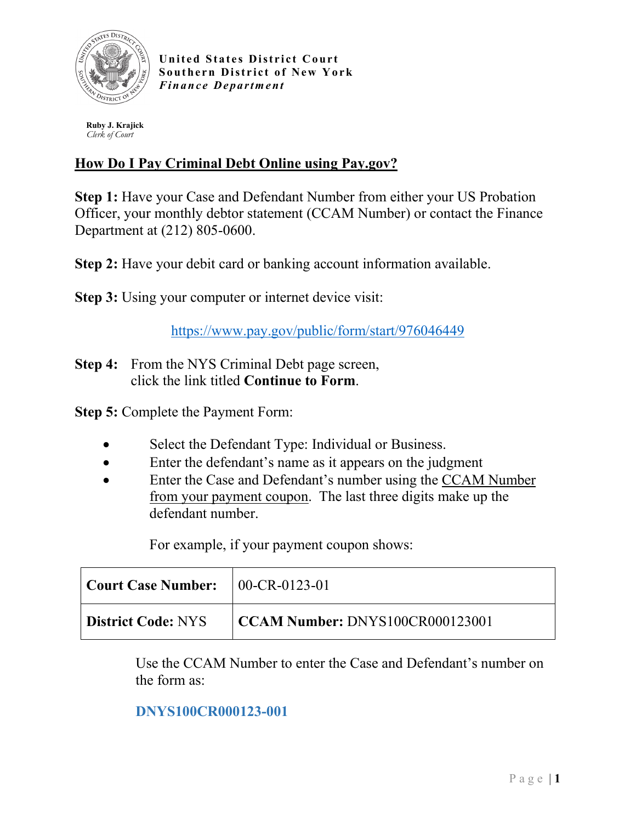

**United States District Court Southern District of New York** *Finance Department*

 **Ruby J. Krajick**  *Clerk of Court*

## **How Do I Pay Criminal Debt Online using Pay.gov?**

**Step 1:** Have your Case and Defendant Number from either your US Probation Officer, your monthly debtor statement (CCAM Number) or contact the Finance Department at (212) 805-0600.

**Step 2:** Have your debit card or banking account information available.

**Step 3:** Using your computer or internet device visit:

<https://www.pay.gov/public/form/start/976046449>

**Step 4:** From the NYS Criminal Debt page screen, click the link titled **Continue to Form**.

**Step 5:** Complete the Payment Form:

- Select the Defendant Type: Individual or Business.
- Enter the defendant's name as it appears on the judgment
- Enter the Case and Defendant's number using the CCAM Number from your payment coupon. The last three digits make up the defendant number.

For example, if your payment coupon shows:

| $\vert$ Court Case Number: $\vert$ 00-CR-0123-01 |                                        |
|--------------------------------------------------|----------------------------------------|
| <b>District Code: NYS</b>                        | $\mid$ CCAM Number: DNYS100CR000123001 |

Use the CCAM Number to enter the Case and Defendant's number on the form as:

## **DNYS100CR000123-001**